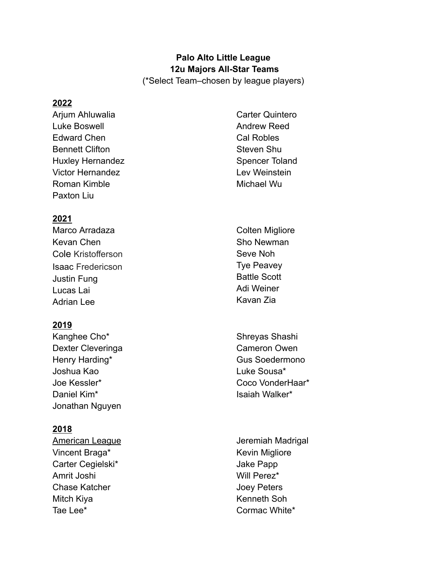# **Palo Alto Little League 12u Majors All-Star Teams**

(\*Select Team–chosen by league players)

#### **2022**

Arjum Ahluwalia Luke Boswell Edward Chen Bennett Clifton Huxley Hernandez Victor Hernandez Roman Kimble Paxton Liu

Carter Quintero Andrew Reed Cal Robles Steven Shu Spencer Toland Lev Weinstein Michael Wu

# **2021**

Marco Arradaza Kevan Chen Cole Kristofferson Isaac Fredericson Justin Fung Lucas Lai Adrian Lee

### **2019**

Kanghee Cho\* Dexter Cleveringa Henry Harding\* Joshua Kao Joe Kessler\* Daniel Kim\* Jonathan Nguyen

### **2018**

American League Vincent Braga\* Carter Cegielski\* Amrit Joshi Chase Katcher Mitch Kiya Tae Lee\*

- Colten Migliore Sho Newman Seve Noh Tye Peavey Battle Scott Adi Weiner Kavan Zia
- Shreyas Shashi Cameron Owen Gus Soedermono Luke Sousa\* Coco VonderHaar\* Isaiah Walker\*
- Jeremiah Madrigal Kevin Migliore Jake Papp Will Perez\* Joey Peters Kenneth Soh Cormac White\*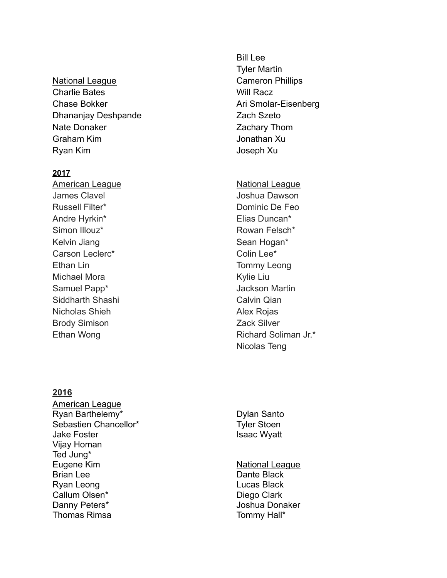National League Charlie Bates Chase Bokker Dhananjay Deshpande Nate Donaker Graham Kim Ryan Kim

#### **2017**

American League James Clavel Russell Filter\* Andre Hyrkin\* Simon Illouz\* Kelvin Jiang Carson Leclerc\* Ethan Lin Michael Mora Samuel Papp\* Siddharth Shashi Nicholas Shieh Brody Simison Ethan Wong

# Bill Lee Tyler Martin Cameron Phillips Will Racz Ari Smolar-Eisenberg Zach Szeto Zachary Thom Jonathan Xu Joseph Xu

**National League** Joshua Dawson Dominic De Feo Elias Duncan\* Rowan Felsch\* Sean Hogan\* Colin Lee\* Tommy Leong Kylie Liu Jackson Martin Calvin Qian Alex Rojas Zack Silver Richard Soliman Jr.\* Nicolas Teng

#### **2016**

American League Ryan Barthelemy\* Sebastien Chancellor\* Jake Foster Vijay Homan Ted Jung\* Eugene Kim Brian Lee Ryan Leong Callum Olsen\* Danny Peters\* Thomas Rimsa

Dylan Santo Tyler Stoen Isaac Wyatt

National League Dante Black Lucas Black Diego Clark Joshua Donaker Tommy Hall\*